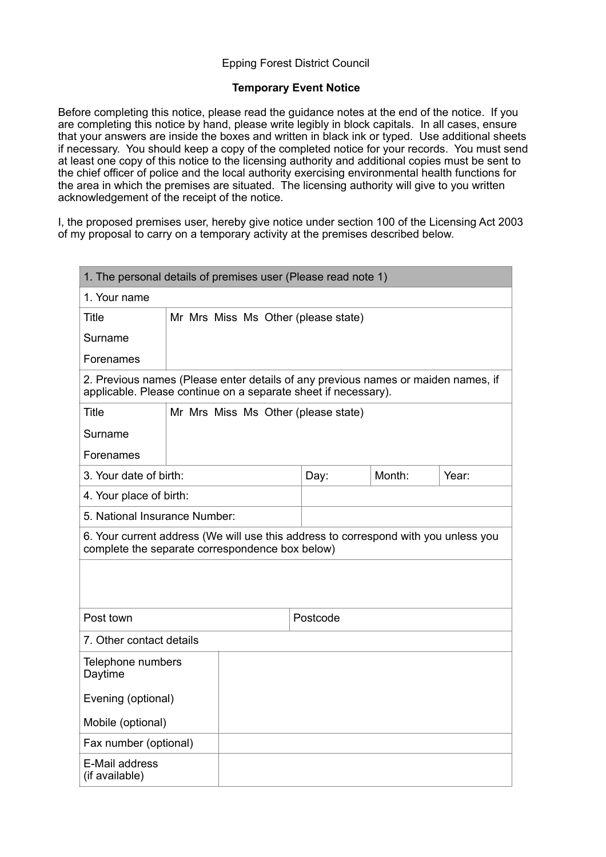# Epping Forest District Council

# **Temporary Event Notice**

Before completing this notice, please read the guidance notes at the end of the notice. If you are completing this notice by hand, please write legibly in block capitals. In all cases, ensure that your answers are inside the boxes and written in black ink or typed. Use additional sheets if necessary. You should keep a copy of the completed notice for your records. You must send at least one copy of this notice to the licensing authority and additional copies must be sent to the chief officer of police and the local authority exercising environmental health functions for the area in which the premises are situated. The licensing authority will give to you written acknowledgement of the receipt of the notice.

I, the proposed premises user, hereby give notice under section 100 of the Licensing Act 2003 of my proposal to carry on a temporary activity at the premises described below.

| 1. The personal details of premises user (Please read note 1)                                                                                       |  |                                     |      |        |       |
|-----------------------------------------------------------------------------------------------------------------------------------------------------|--|-------------------------------------|------|--------|-------|
| 1. Your name                                                                                                                                        |  |                                     |      |        |       |
| Title                                                                                                                                               |  | Mr Mrs Miss Ms Other (please state) |      |        |       |
| Surname                                                                                                                                             |  |                                     |      |        |       |
| Forenames                                                                                                                                           |  |                                     |      |        |       |
| 2. Previous names (Please enter details of any previous names or maiden names, if<br>applicable. Please continue on a separate sheet if necessary). |  |                                     |      |        |       |
| <b>Title</b>                                                                                                                                        |  | Mr Mrs Miss Ms Other (please state) |      |        |       |
| Surname                                                                                                                                             |  |                                     |      |        |       |
| Forenames                                                                                                                                           |  |                                     |      |        |       |
| 3. Your date of birth:                                                                                                                              |  |                                     | Day: | Month: | Year: |
| 4. Your place of birth:                                                                                                                             |  |                                     |      |        |       |
| 5. National Insurance Number:                                                                                                                       |  |                                     |      |        |       |
| 6. Your current address (We will use this address to correspond with you unless you<br>complete the separate correspondence box below)              |  |                                     |      |        |       |
|                                                                                                                                                     |  |                                     |      |        |       |
|                                                                                                                                                     |  |                                     |      |        |       |
| Post town                                                                                                                                           |  | Postcode                            |      |        |       |
| 7. Other contact details                                                                                                                            |  |                                     |      |        |       |
| Telephone numbers<br>Daytime                                                                                                                        |  |                                     |      |        |       |
| Evening (optional)                                                                                                                                  |  |                                     |      |        |       |
| Mobile (optional)                                                                                                                                   |  |                                     |      |        |       |
| Fax number (optional)                                                                                                                               |  |                                     |      |        |       |
| E-Mail address<br>(if available)                                                                                                                    |  |                                     |      |        |       |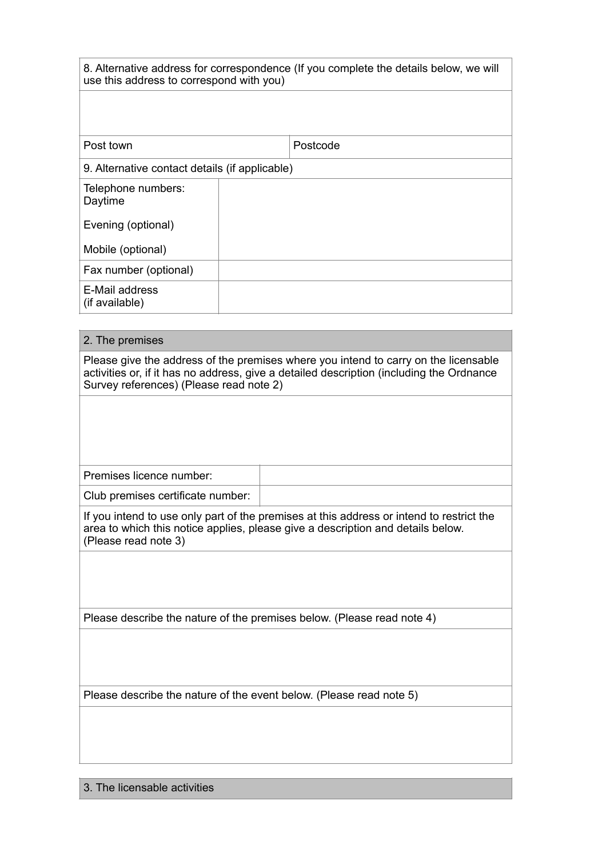| 8. Alternative address for correspondence (If you complete the details below, we will |  |
|---------------------------------------------------------------------------------------|--|
| use this address to correspond with you)                                              |  |

| Post town                                      |  | Postcode |
|------------------------------------------------|--|----------|
| 9. Alternative contact details (if applicable) |  |          |
| Telephone numbers:<br>Daytime                  |  |          |
| Evening (optional)                             |  |          |
| Mobile (optional)                              |  |          |
| Fax number (optional)                          |  |          |
| E-Mail address<br>(if available)               |  |          |

| 2. The premises                                                                                                                                                                                                            |                                                                        |  |
|----------------------------------------------------------------------------------------------------------------------------------------------------------------------------------------------------------------------------|------------------------------------------------------------------------|--|
| Please give the address of the premises where you intend to carry on the licensable<br>activities or, if it has no address, give a detailed description (including the Ordnance<br>Survey references) (Please read note 2) |                                                                        |  |
|                                                                                                                                                                                                                            |                                                                        |  |
|                                                                                                                                                                                                                            |                                                                        |  |
|                                                                                                                                                                                                                            |                                                                        |  |
| Premises licence number:                                                                                                                                                                                                   |                                                                        |  |
| Club premises certificate number:                                                                                                                                                                                          |                                                                        |  |
| If you intend to use only part of the premises at this address or intend to restrict the<br>area to which this notice applies, please give a description and details below.<br>(Please read note 3)                        |                                                                        |  |
|                                                                                                                                                                                                                            |                                                                        |  |
|                                                                                                                                                                                                                            | Please describe the nature of the premises below. (Please read note 4) |  |
|                                                                                                                                                                                                                            |                                                                        |  |
| Please describe the nature of the event below. (Please read note 5)                                                                                                                                                        |                                                                        |  |
|                                                                                                                                                                                                                            |                                                                        |  |
|                                                                                                                                                                                                                            |                                                                        |  |
|                                                                                                                                                                                                                            |                                                                        |  |

# 3. The licensable activities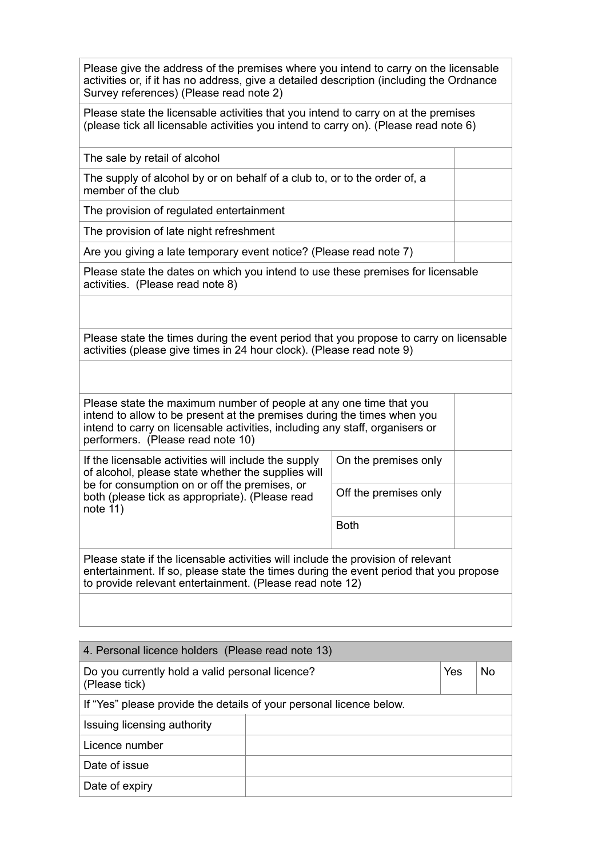Please give the address of the premises where you intend to carry on the licensable activities or, if it has no address, give a detailed description (including the Ordnance Survey references) (Please read note 2)

Please state the licensable activities that you intend to carry on at the premises (please tick all licensable activities you intend to carry on). (Please read note 6)

The sale by retail of alcohol

The supply of alcohol by or on behalf of a club to, or to the order of, a member of the club

The provision of regulated entertainment

The provision of late night refreshment

Are you giving a late temporary event notice? (Please read note 7)

Please state the dates on which you intend to use these premises for licensable activities. (Please read note 8)

Please state the times during the event period that you propose to carry on licensable activities (please give times in 24 hour clock). (Please read note 9)

Please state the maximum number of people at any one time that you intend to allow to be present at the premises during the times when you intend to carry on licensable activities, including any staff, organisers or performers. (Please read note 10)

If the licensable activities will include the supply of alcohol, please state whether the supplies will be for consumption on or off the premises, or both (please tick as appropriate). (Please read note  $11$ )

On the premises only Off the premises only

Both

Please state if the licensable activities will include the provision of relevant entertainment. If so, please state the times during the event period that you propose to provide relevant entertainment. (Please read note 12)

| 4. Personal licence holders (Please read note 13)                             |  |  |  |  |
|-------------------------------------------------------------------------------|--|--|--|--|
| Yes<br>No<br>Do you currently hold a valid personal licence?<br>(Please tick) |  |  |  |  |
| If "Yes" please provide the details of your personal licence below.           |  |  |  |  |
| Issuing licensing authority                                                   |  |  |  |  |
| Licence number                                                                |  |  |  |  |
| Date of issue                                                                 |  |  |  |  |
| Date of expiry                                                                |  |  |  |  |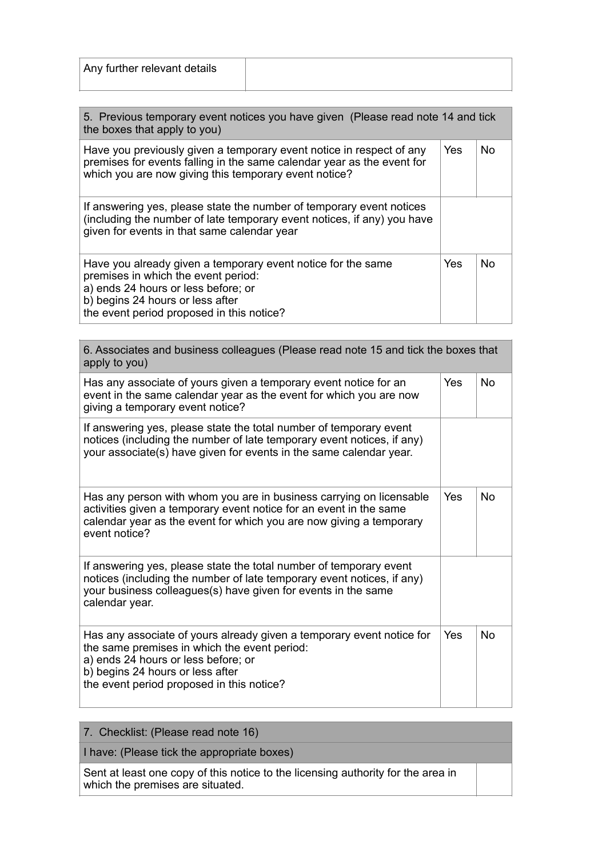| Any further relevant details |  |
|------------------------------|--|
|                              |  |

| 5. Previous temporary event notices you have given (Please read note 14 and tick<br>the boxes that apply to you)                                                                                                            |            |     |
|-----------------------------------------------------------------------------------------------------------------------------------------------------------------------------------------------------------------------------|------------|-----|
| Have you previously given a temporary event notice in respect of any<br>premises for events falling in the same calendar year as the event for<br>which you are now giving this temporary event notice?                     | <b>Yes</b> | No. |
| If answering yes, please state the number of temporary event notices<br>(including the number of late temporary event notices, if any) you have<br>given for events in that same calendar year                              |            |     |
| Have you already given a temporary event notice for the same<br>premises in which the event period:<br>a) ends 24 hours or less before; or<br>b) begins 24 hours or less after<br>the event period proposed in this notice? | Yes        | N٥  |

| 6. Associates and business colleagues (Please read note 15 and tick the boxes that<br>apply to you)                                                                                                                                           |     |           |
|-----------------------------------------------------------------------------------------------------------------------------------------------------------------------------------------------------------------------------------------------|-----|-----------|
| Has any associate of yours given a temporary event notice for an<br>event in the same calendar year as the event for which you are now<br>giving a temporary event notice?                                                                    | Yes | <b>No</b> |
| If answering yes, please state the total number of temporary event<br>notices (including the number of late temporary event notices, if any)<br>your associate(s) have given for events in the same calendar year.                            |     |           |
| Has any person with whom you are in business carrying on licensable<br>activities given a temporary event notice for an event in the same<br>calendar year as the event for which you are now giving a temporary<br>event notice?             | Yes | <b>No</b> |
| If answering yes, please state the total number of temporary event<br>notices (including the number of late temporary event notices, if any)<br>your business colleagues(s) have given for events in the same<br>calendar year.               |     |           |
| Has any associate of yours already given a temporary event notice for<br>the same premises in which the event period:<br>a) ends 24 hours or less before; or<br>b) begins 24 hours or less after<br>the event period proposed in this notice? | Yes | <b>No</b> |

|  | 7. Checklist: (Please read note 16) |  |  |  |  |
|--|-------------------------------------|--|--|--|--|
|--|-------------------------------------|--|--|--|--|

I have: (Please tick the appropriate boxes)

Sent at least one copy of this notice to the licensing authority for the area in which the premises are situated.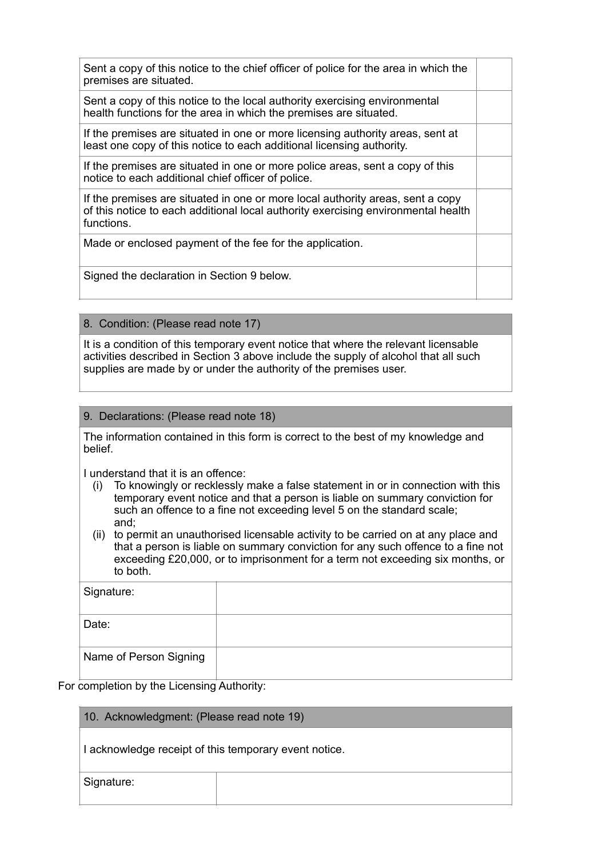| Sent a copy of this notice to the chief officer of police for the area in which the<br>premises are situated.                                                                     |  |
|-----------------------------------------------------------------------------------------------------------------------------------------------------------------------------------|--|
| Sent a copy of this notice to the local authority exercising environmental<br>health functions for the area in which the premises are situated.                                   |  |
| If the premises are situated in one or more licensing authority areas, sent at<br>least one copy of this notice to each additional licensing authority.                           |  |
| If the premises are situated in one or more police areas, sent a copy of this<br>notice to each additional chief officer of police.                                               |  |
| If the premises are situated in one or more local authority areas, sent a copy<br>of this notice to each additional local authority exercising environmental health<br>functions. |  |
| Made or enclosed payment of the fee for the application.                                                                                                                          |  |
| Signed the declaration in Section 9 below.                                                                                                                                        |  |

# 8. Condition: (Please read note 17)

It is a condition of this temporary event notice that where the relevant licensable activities described in Section 3 above include the supply of alcohol that all such supplies are made by or under the authority of the premises user.

## 9. Declarations: (Please read note 18)

The information contained in this form is correct to the best of my knowledge and belief.

I understand that it is an offence:

- (i) To knowingly or recklessly make a false statement in or in connection with this temporary event notice and that a person is liable on summary conviction for such an offence to a fine not exceeding level 5 on the standard scale; and;
- (ii) to permit an unauthorised licensable activity to be carried on at any place and that a person is liable on summary conviction for any such offence to a fine not exceeding £20,000, or to imprisonment for a term not exceeding six months, or to both.

| Signature:             |  |
|------------------------|--|
| Date:                  |  |
| Name of Person Signing |  |

# For completion by the Licensing Authority:

# 10. Acknowledgment: (Please read note 19)

I acknowledge receipt of this temporary event notice.

Signature: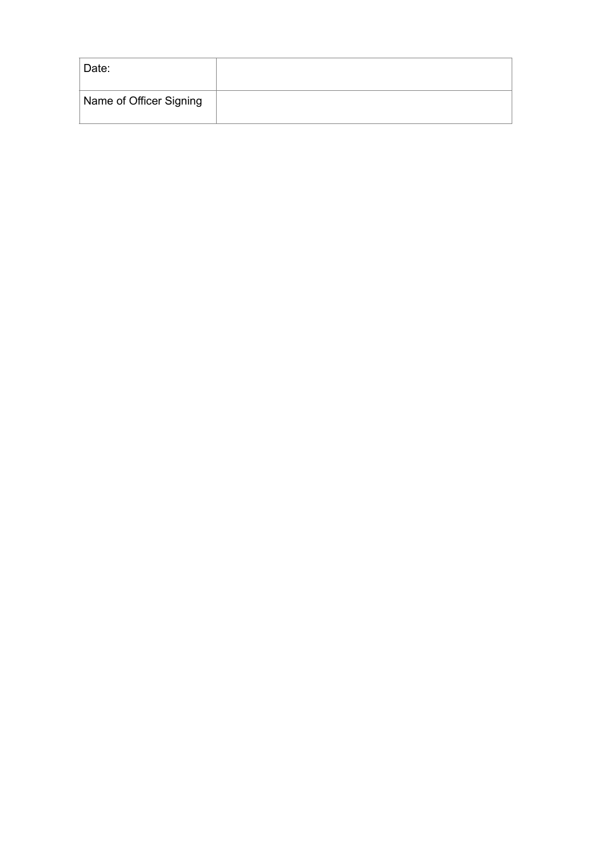| Date:                   |  |
|-------------------------|--|
| Name of Officer Signing |  |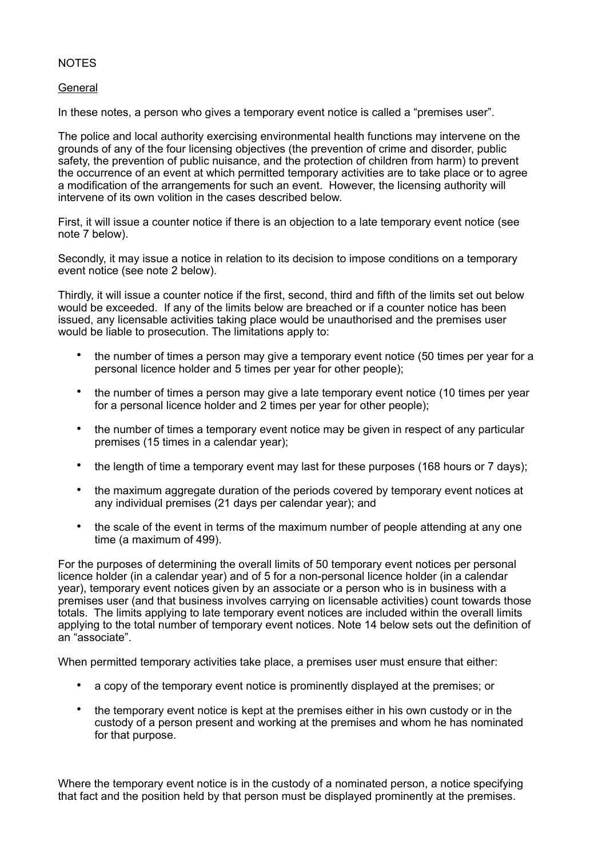## **NOTES**

#### General

In these notes, a person who gives a temporary event notice is called a "premises user".

The police and local authority exercising environmental health functions may intervene on the grounds of any of the four licensing objectives (the prevention of crime and disorder, public safety, the prevention of public nuisance, and the protection of children from harm) to prevent the occurrence of an event at which permitted temporary activities are to take place or to agree a modification of the arrangements for such an event. However, the licensing authority will intervene of its own volition in the cases described below.

First, it will issue a counter notice if there is an objection to a late temporary event notice (see note 7 below).

Secondly, it may issue a notice in relation to its decision to impose conditions on a temporary event notice (see note 2 below).

Thirdly, it will issue a counter notice if the first, second, third and fifth of the limits set out below would be exceeded. If any of the limits below are breached or if a counter notice has been issued, any licensable activities taking place would be unauthorised and the premises user would be liable to prosecution. The limitations apply to:

- the number of times a person may give a temporary event notice (50 times per year for a personal licence holder and 5 times per year for other people);
- the number of times a person may give a late temporary event notice (10 times per year for a personal licence holder and 2 times per year for other people);
- the number of times a temporary event notice may be given in respect of any particular premises (15 times in a calendar year);
- the length of time a temporary event may last for these purposes (168 hours or 7 days);
- the maximum aggregate duration of the periods covered by temporary event notices at any individual premises (21 days per calendar year); and
- the scale of the event in terms of the maximum number of people attending at any one time (a maximum of 499).

For the purposes of determining the overall limits of 50 temporary event notices per personal licence holder (in a calendar year) and of 5 for a non-personal licence holder (in a calendar year), temporary event notices given by an associate or a person who is in business with a premises user (and that business involves carrying on licensable activities) count towards those totals. The limits applying to late temporary event notices are included within the overall limits applying to the total number of temporary event notices. Note 14 below sets out the definition of an "associate".

When permitted temporary activities take place, a premises user must ensure that either:

- a copy of the temporary event notice is prominently displayed at the premises; or
- the temporary event notice is kept at the premises either in his own custody or in the custody of a person present and working at the premises and whom he has nominated for that purpose.

Where the temporary event notice is in the custody of a nominated person, a notice specifying that fact and the position held by that person must be displayed prominently at the premises.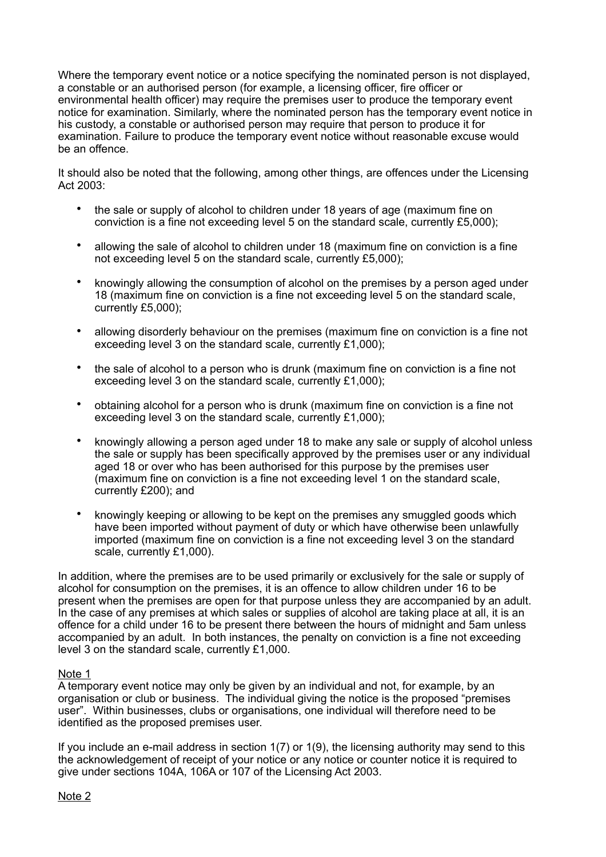Where the temporary event notice or a notice specifying the nominated person is not displayed, a constable or an authorised person (for example, a licensing officer, fire officer or environmental health officer) may require the premises user to produce the temporary event notice for examination. Similarly, where the nominated person has the temporary event notice in his custody, a constable or authorised person may require that person to produce it for examination. Failure to produce the temporary event notice without reasonable excuse would be an offence.

It should also be noted that the following, among other things, are offences under the Licensing Act  $2003$ 

- the sale or supply of alcohol to children under 18 years of age (maximum fine on conviction is a fine not exceeding level 5 on the standard scale, currently £5,000);
- allowing the sale of alcohol to children under 18 (maximum fine on conviction is a fine not exceeding level 5 on the standard scale, currently £5,000);
- knowingly allowing the consumption of alcohol on the premises by a person aged under 18 (maximum fine on conviction is a fine not exceeding level 5 on the standard scale, currently £5,000);
- allowing disorderly behaviour on the premises (maximum fine on conviction is a fine not exceeding level 3 on the standard scale, currently £1,000);
- the sale of alcohol to a person who is drunk (maximum fine on conviction is a fine not exceeding level 3 on the standard scale, currently £1,000);
- obtaining alcohol for a person who is drunk (maximum fine on conviction is a fine not exceeding level 3 on the standard scale, currently £1,000);
- knowingly allowing a person aged under 18 to make any sale or supply of alcohol unless the sale or supply has been specifically approved by the premises user or any individual aged 18 or over who has been authorised for this purpose by the premises user (maximum fine on conviction is a fine not exceeding level 1 on the standard scale, currently £200); and
- knowingly keeping or allowing to be kept on the premises any smuggled goods which have been imported without payment of duty or which have otherwise been unlawfully imported (maximum fine on conviction is a fine not exceeding level 3 on the standard scale, currently £1,000).

In addition, where the premises are to be used primarily or exclusively for the sale or supply of alcohol for consumption on the premises, it is an offence to allow children under 16 to be present when the premises are open for that purpose unless they are accompanied by an adult. In the case of any premises at which sales or supplies of alcohol are taking place at all, it is an offence for a child under 16 to be present there between the hours of midnight and 5am unless accompanied by an adult. In both instances, the penalty on conviction is a fine not exceeding level 3 on the standard scale, currently £1,000.

#### Note 1

A temporary event notice may only be given by an individual and not, for example, by an organisation or club or business. The individual giving the notice is the proposed "premises user". Within businesses, clubs or organisations, one individual will therefore need to be identified as the proposed premises user.

If you include an e-mail address in section 1(7) or 1(9), the licensing authority may send to this the acknowledgement of receipt of your notice or any notice or counter notice it is required to give under sections 104A, 106A or 107 of the Licensing Act 2003.

Note 2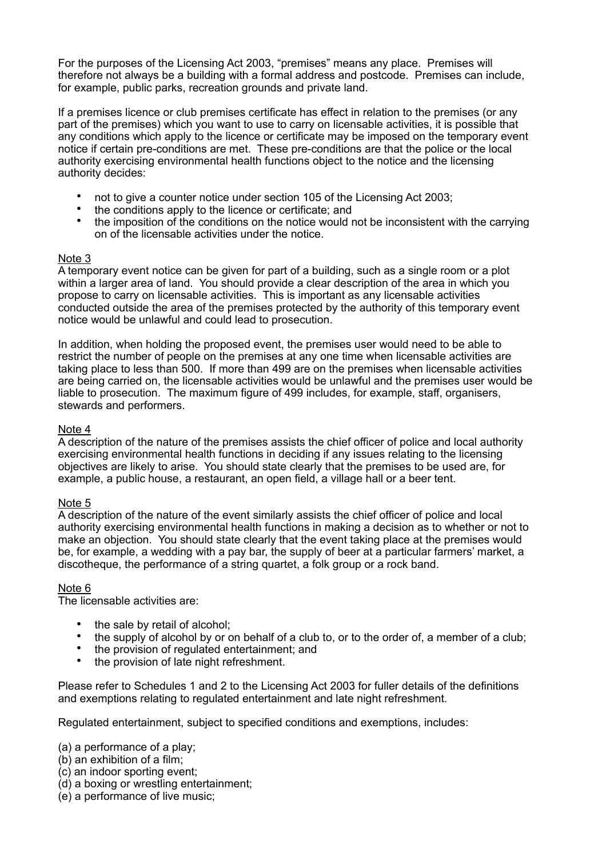For the purposes of the Licensing Act 2003, "premises" means any place. Premises will therefore not always be a building with a formal address and postcode. Premises can include, for example, public parks, recreation grounds and private land.

If a premises licence or club premises certificate has effect in relation to the premises (or any part of the premises) which you want to use to carry on licensable activities, it is possible that any conditions which apply to the licence or certificate may be imposed on the temporary event notice if certain pre-conditions are met. These pre-conditions are that the police or the local authority exercising environmental health functions object to the notice and the licensing authority decides:

- not to give a counter notice under section 105 of the Licensing Act 2003;
- the conditions apply to the licence or certificate; and<br>• the imposition of the conditions on the notice would to
- the imposition of the conditions on the notice would not be inconsistent with the carrying on of the licensable activities under the notice.

# Note 3

A temporary event notice can be given for part of a building, such as a single room or a plot within a larger area of land. You should provide a clear description of the area in which you propose to carry on licensable activities. This is important as any licensable activities conducted outside the area of the premises protected by the authority of this temporary event notice would be unlawful and could lead to prosecution.

In addition, when holding the proposed event, the premises user would need to be able to restrict the number of people on the premises at any one time when licensable activities are taking place to less than 500. If more than 499 are on the premises when licensable activities are being carried on, the licensable activities would be unlawful and the premises user would be liable to prosecution. The maximum figure of 499 includes, for example, staff, organisers, stewards and performers.

# Note 4

A description of the nature of the premises assists the chief officer of police and local authority exercising environmental health functions in deciding if any issues relating to the licensing objectives are likely to arise. You should state clearly that the premises to be used are, for example, a public house, a restaurant, an open field, a village hall or a beer tent.

# Note 5

A description of the nature of the event similarly assists the chief officer of police and local authority exercising environmental health functions in making a decision as to whether or not to make an objection. You should state clearly that the event taking place at the premises would be, for example, a wedding with a pay bar, the supply of beer at a particular farmers' market, a discotheque, the performance of a string quartet, a folk group or a rock band.

# Note 6

The licensable activities are:

- the sale by retail of alcohol;<br>• the sunnly of alcohol by or c
- the supply of alcohol by or on behalf of a club to, or to the order of, a member of a club;
- the provision of regulated entertainment; and
- the provision of late night refreshment.

Please refer to Schedules 1 and 2 to the Licensing Act 2003 for fuller details of the definitions and exemptions relating to regulated entertainment and late night refreshment.

Regulated entertainment, subject to specified conditions and exemptions, includes:

- (a) a performance of a play;
- (b) an exhibition of a film;
- (c) an indoor sporting event;
- (d) a boxing or wrestling entertainment;
- (e) a performance of live music;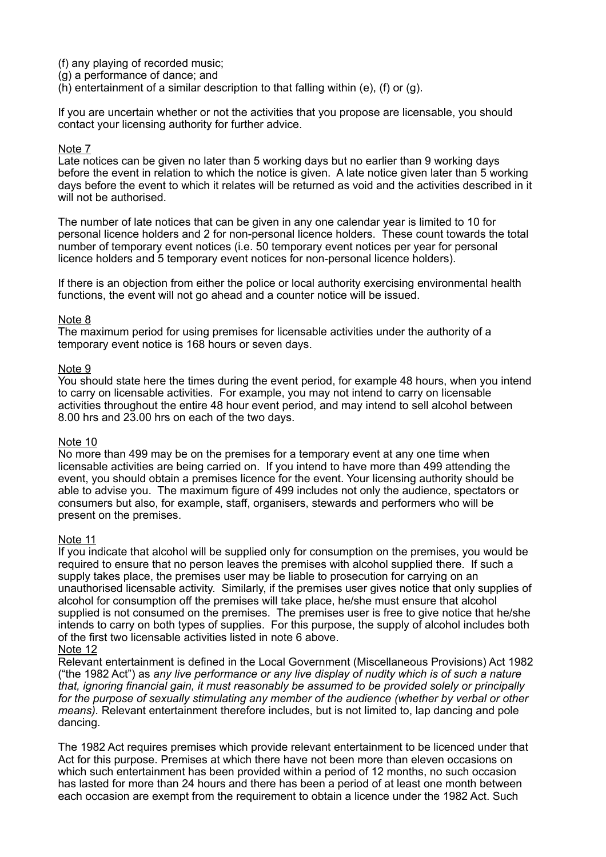(f) any playing of recorded music;

- (g) a performance of dance; and
- (h) entertainment of a similar description to that falling within (e), (f) or (g).

If you are uncertain whether or not the activities that you propose are licensable, you should contact your licensing authority for further advice.

#### Note 7

Late notices can be given no later than 5 working days but no earlier than 9 working days before the event in relation to which the notice is given. A late notice given later than 5 working days before the event to which it relates will be returned as void and the activities described in it will not be authorised.

The number of late notices that can be given in any one calendar year is limited to 10 for personal licence holders and 2 for non-personal licence holders. These count towards the total number of temporary event notices (i.e. 50 temporary event notices per year for personal licence holders and 5 temporary event notices for non-personal licence holders).

If there is an objection from either the police or local authority exercising environmental health functions, the event will not go ahead and a counter notice will be issued.

## Note 8

The maximum period for using premises for licensable activities under the authority of a temporary event notice is 168 hours or seven days.

## Note 9

You should state here the times during the event period, for example 48 hours, when you intend to carry on licensable activities. For example, you may not intend to carry on licensable activities throughout the entire 48 hour event period, and may intend to sell alcohol between 8.00 hrs and 23.00 hrs on each of the two days.

#### Note 10

No more than 499 may be on the premises for a temporary event at any one time when licensable activities are being carried on. If you intend to have more than 499 attending the event, you should obtain a premises licence for the event. Your licensing authority should be able to advise you. The maximum figure of 499 includes not only the audience, spectators or consumers but also, for example, staff, organisers, stewards and performers who will be present on the premises.

#### Note 11

If you indicate that alcohol will be supplied only for consumption on the premises, you would be required to ensure that no person leaves the premises with alcohol supplied there. If such a supply takes place, the premises user may be liable to prosecution for carrying on an unauthorised licensable activity. Similarly, if the premises user gives notice that only supplies of alcohol for consumption off the premises will take place, he/she must ensure that alcohol supplied is not consumed on the premises. The premises user is free to give notice that he/she intends to carry on both types of supplies. For this purpose, the supply of alcohol includes both of the first two licensable activities listed in note 6 above.

#### Note 12

Relevant entertainment is defined in the Local Government (Miscellaneous Provisions) Act 1982 ("the 1982 Act") as *any live performance or any live display of nudity which is of such a nature that, ignoring financial gain, it must reasonably be assumed to be provided solely or principally for the purpose of sexually stimulating any member of the audience (whether by verbal or other means).* Relevant entertainment therefore includes, but is not limited to, lap dancing and pole dancing.

The 1982 Act requires premises which provide relevant entertainment to be licenced under that Act for this purpose. Premises at which there have not been more than eleven occasions on which such entertainment has been provided within a period of 12 months, no such occasion has lasted for more than 24 hours and there has been a period of at least one month between each occasion are exempt from the requirement to obtain a licence under the 1982 Act. Such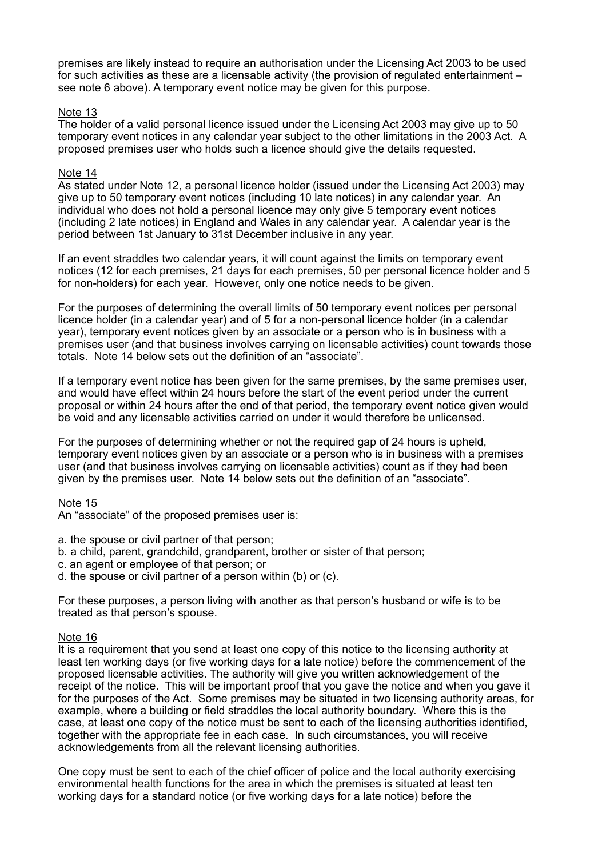premises are likely instead to require an authorisation under the Licensing Act 2003 to be used for such activities as these are a licensable activity (the provision of regulated entertainment – see note 6 above). A temporary event notice may be given for this purpose.

#### Note 13

The holder of a valid personal licence issued under the Licensing Act 2003 may give up to 50 temporary event notices in any calendar year subject to the other limitations in the 2003 Act. A proposed premises user who holds such a licence should give the details requested.

## Note 14

As stated under Note 12, a personal licence holder (issued under the Licensing Act 2003) may give up to 50 temporary event notices (including 10 late notices) in any calendar year. An individual who does not hold a personal licence may only give 5 temporary event notices (including 2 late notices) in England and Wales in any calendar year. A calendar year is the period between 1st January to 31st December inclusive in any year.

If an event straddles two calendar years, it will count against the limits on temporary event notices (12 for each premises, 21 days for each premises, 50 per personal licence holder and 5 for non-holders) for each year. However, only one notice needs to be given.

For the purposes of determining the overall limits of 50 temporary event notices per personal licence holder (in a calendar year) and of 5 for a non-personal licence holder (in a calendar year), temporary event notices given by an associate or a person who is in business with a premises user (and that business involves carrying on licensable activities) count towards those totals. Note 14 below sets out the definition of an "associate".

If a temporary event notice has been given for the same premises, by the same premises user, and would have effect within 24 hours before the start of the event period under the current proposal or within 24 hours after the end of that period, the temporary event notice given would be void and any licensable activities carried on under it would therefore be unlicensed.

For the purposes of determining whether or not the required gap of 24 hours is upheld, temporary event notices given by an associate or a person who is in business with a premises user (and that business involves carrying on licensable activities) count as if they had been given by the premises user. Note 14 below sets out the definition of an "associate".

#### Note 15

An "associate" of the proposed premises user is:

- a. the spouse or civil partner of that person;
- b. a child, parent, grandchild, grandparent, brother or sister of that person;
- c. an agent or employee of that person; or
- d. the spouse or civil partner of a person within (b) or (c).

For these purposes, a person living with another as that person's husband or wife is to be treated as that person's spouse.

#### Note 16

It is a requirement that you send at least one copy of this notice to the licensing authority at least ten working days (or five working days for a late notice) before the commencement of the proposed licensable activities. The authority will give you written acknowledgement of the receipt of the notice. This will be important proof that you gave the notice and when you gave it for the purposes of the Act. Some premises may be situated in two licensing authority areas, for example, where a building or field straddles the local authority boundary. Where this is the case, at least one copy of the notice must be sent to each of the licensing authorities identified, together with the appropriate fee in each case. In such circumstances, you will receive acknowledgements from all the relevant licensing authorities.

One copy must be sent to each of the chief officer of police and the local authority exercising environmental health functions for the area in which the premises is situated at least ten working days for a standard notice (or five working days for a late notice) before the